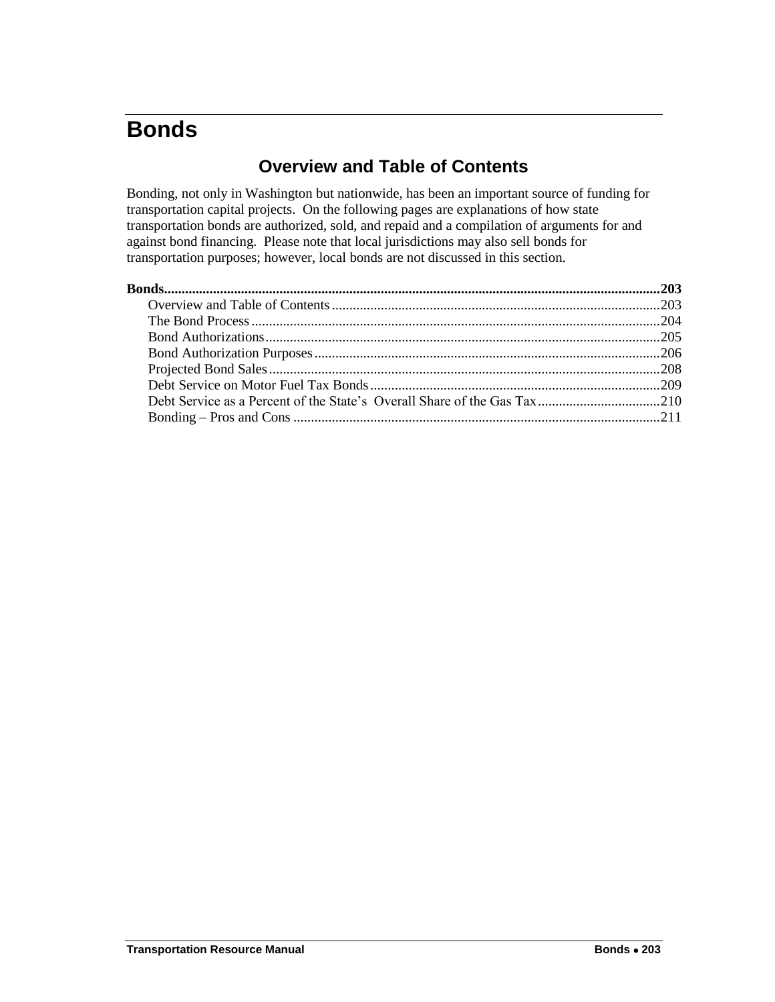# <span id="page-0-1"></span><span id="page-0-0"></span>**Bonds**

# **Overview and Table of Contents**

Bonding, not only in Washington but nationwide, has been an important source of funding for transportation capital projects. On the following pages are explanations of how state transportation bonds are authorized, sold, and repaid and a compilation of arguments for and against bond financing. Please note that local jurisdictions may also sell bonds for transportation purposes; however, local bonds are not discussed in this section.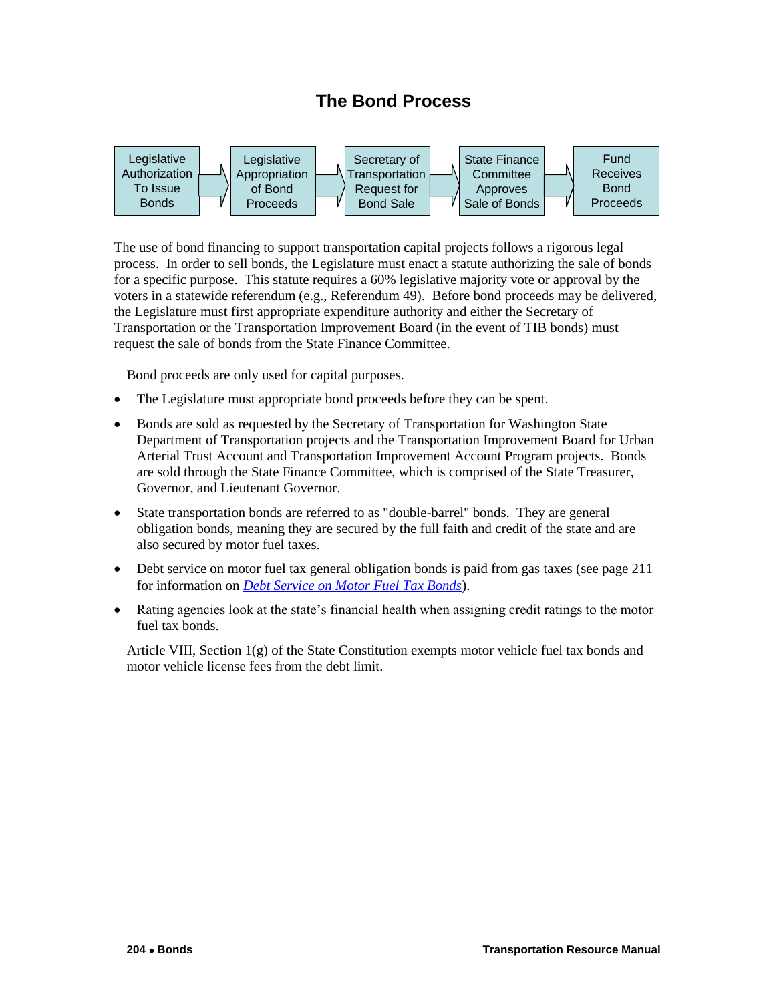# **The Bond Process**

<span id="page-1-0"></span>

The use of bond financing to support transportation capital projects follows a rigorous legal process. In order to sell bonds, the Legislature must enact a statute authorizing the sale of bonds for a specific purpose. This statute requires a 60% legislative majority vote or approval by the voters in a statewide referendum (e.g., Referendum 49). Before bond proceeds may be delivered, the Legislature must first appropriate expenditure authority and either the Secretary of Transportation or the Transportation Improvement Board (in the event of TIB bonds) must request the sale of bonds from the State Finance Committee.

Bond proceeds are only used for capital purposes.

- The Legislature must appropriate bond proceeds before they can be spent.
- Bonds are sold as requested by the Secretary of Transportation for Washington State Department of Transportation projects and the Transportation Improvement Board for Urban Arterial Trust Account and Transportation Improvement Account Program projects. Bonds are sold through the State Finance Committee, which is comprised of the State Treasurer, Governor, and Lieutenant Governor.
- State transportation bonds are referred to as "double-barrel" bonds. They are general obligation bonds, meaning they are secured by the full faith and credit of the state and are also secured by motor fuel taxes.
- Debt service on motor fuel tax general obligation bonds is paid from gas taxes (see page 211) for information on *[Debt Service on Motor Fuel Tax Bonds](#page-6-0)*).
- Rating agencies look at the state's financial health when assigning credit ratings to the motor fuel tax bonds.

Article VIII, Section 1(g) of the State Constitution exempts motor vehicle fuel tax bonds and motor vehicle license fees from the debt limit.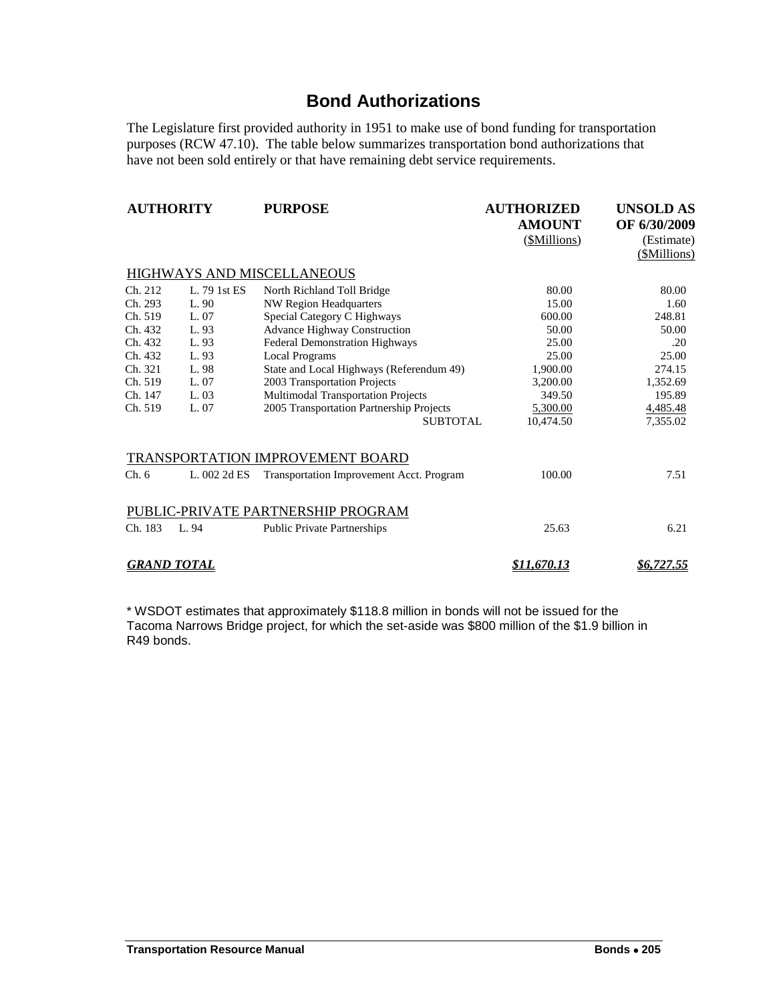### **Bond Authorizations**

<span id="page-2-0"></span>The Legislature first provided authority in 1951 to make use of bond funding for transportation purposes (RCW 47.10). The table below summarizes transportation bond authorizations that have not been sold entirely or that have remaining debt service requirements.

| <b>AUTHORITY</b>           |              | <b>PURPOSE</b>                           | <b>AUTHORIZED</b>  | <b>UNSOLD AS</b>  |  |  |  |  |  |
|----------------------------|--------------|------------------------------------------|--------------------|-------------------|--|--|--|--|--|
|                            |              |                                          | <b>AMOUNT</b>      | OF 6/30/2009      |  |  |  |  |  |
|                            |              |                                          | (\$Millions)       | (Estimate)        |  |  |  |  |  |
|                            |              |                                          |                    | (\$Millions)      |  |  |  |  |  |
| HIGHWAYS AND MISCELLANEOUS |              |                                          |                    |                   |  |  |  |  |  |
| Ch. 212                    | L. 79 1st ES | North Richland Toll Bridge               | 80.00              | 80.00             |  |  |  |  |  |
| Ch. 293                    | L. 90        | <b>NW Region Headquarters</b>            | 15.00              | 1.60              |  |  |  |  |  |
| Ch. 519                    | L. 07        | Special Category C Highways              | 600.00             | 248.81            |  |  |  |  |  |
| Ch. 432                    | L. 93        | <b>Advance Highway Construction</b>      | 50.00              | 50.00             |  |  |  |  |  |
| Ch. 432                    | L. 93        | Federal Demonstration Highways           | 25.00              | .20               |  |  |  |  |  |
| Ch. 432                    | L. 93        | <b>Local Programs</b>                    | 25.00              | 25.00             |  |  |  |  |  |
| Ch. 321                    | L. 98        | State and Local Highways (Referendum 49) | 1,900.00           | 274.15            |  |  |  |  |  |
| Ch. 519                    | L. 07        | 2003 Transportation Projects             | 3,200.00           | 1,352.69          |  |  |  |  |  |
| Ch. 147                    | L. 03        | Multimodal Transportation Projects       | 349.50             | 195.89            |  |  |  |  |  |
| Ch. 519                    | L. 07        | 2005 Transportation Partnership Projects | 5,300.00           | 4,485.48          |  |  |  |  |  |
|                            |              | SUBTOTAL                                 | 10,474.50          | 7,355.02          |  |  |  |  |  |
|                            |              | TRANSPORTATION IMPROVEMENT BOARD         |                    |                   |  |  |  |  |  |
| Ch.6                       | L. 002 2d ES | Transportation Improvement Acct. Program | 100.00             | 7.51              |  |  |  |  |  |
|                            |              | PUBLIC-PRIVATE PARTNERSHIP PROGRAM       |                    |                   |  |  |  |  |  |
| Ch. 183                    | L.94         | <b>Public Private Partnerships</b>       | 25.63              | 6.21              |  |  |  |  |  |
| <u>GRAND TOTAL</u>         |              |                                          | <u>\$11,670.13</u> | <u>\$6,727.55</u> |  |  |  |  |  |

\* WSDOT estimates that approximately \$118.8 million in bonds will not be issued for the Tacoma Narrows Bridge project, for which the set-aside was \$800 million of the \$1.9 billion in R49 bonds.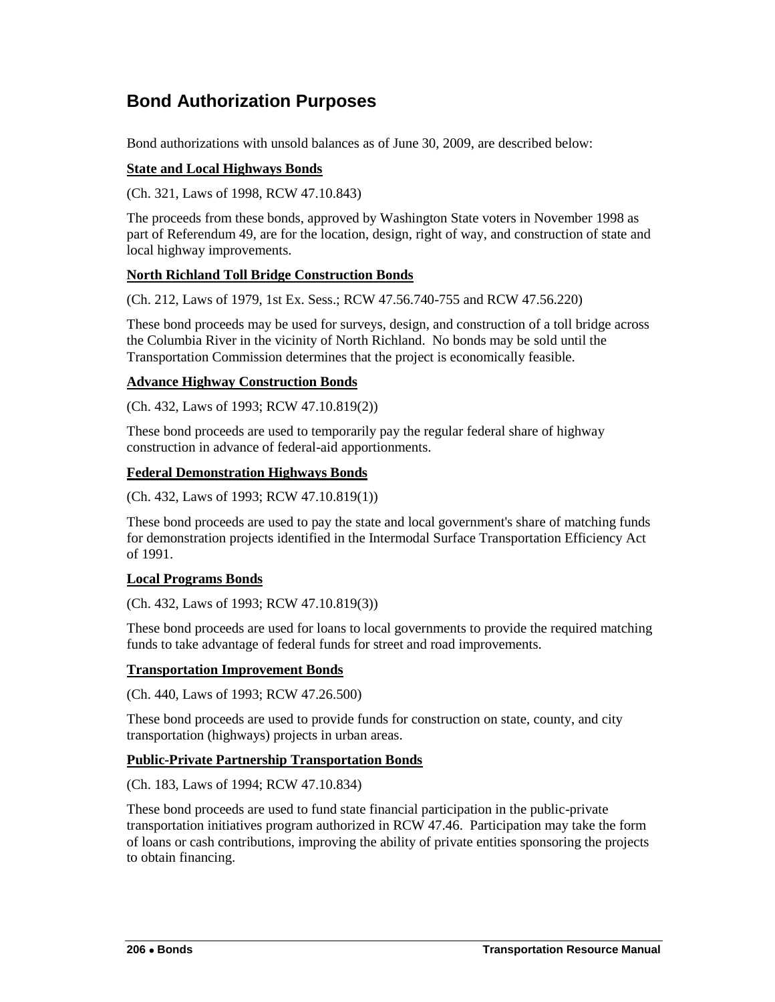# <span id="page-3-0"></span>**Bond Authorization Purposes**

Bond authorizations with unsold balances as of June 30, 2009, are described below:

### **State and Local Highways Bonds**

(Ch. 321, Laws of 1998, RCW 47.10.843)

The proceeds from these bonds, approved by Washington State voters in November 1998 as part of Referendum 49, are for the location, design, right of way, and construction of state and local highway improvements.

### **North Richland Toll Bridge Construction Bonds**

(Ch. 212, Laws of 1979, 1st Ex. Sess.; RCW 47.56.740-755 and RCW 47.56.220)

These bond proceeds may be used for surveys, design, and construction of a toll bridge across the Columbia River in the vicinity of North Richland. No bonds may be sold until the Transportation Commission determines that the project is economically feasible.

### **Advance Highway Construction Bonds**

(Ch. 432, Laws of 1993; RCW 47.10.819(2))

These bond proceeds are used to temporarily pay the regular federal share of highway construction in advance of federal-aid apportionments.

### **Federal Demonstration Highways Bonds**

(Ch. 432, Laws of 1993; RCW 47.10.819(1))

These bond proceeds are used to pay the state and local government's share of matching funds for demonstration projects identified in the Intermodal Surface Transportation Efficiency Act of 1991.

#### **Local Programs Bonds**

(Ch. 432, Laws of 1993; RCW 47.10.819(3))

These bond proceeds are used for loans to local governments to provide the required matching funds to take advantage of federal funds for street and road improvements.

#### **Transportation Improvement Bonds**

(Ch. 440, Laws of 1993; RCW 47.26.500)

These bond proceeds are used to provide funds for construction on state, county, and city transportation (highways) projects in urban areas.

#### **Public-Private Partnership Transportation Bonds**

(Ch. 183, Laws of 1994; RCW 47.10.834)

These bond proceeds are used to fund state financial participation in the public-private transportation initiatives program authorized in RCW 47.46. Participation may take the form of loans or cash contributions, improving the ability of private entities sponsoring the projects to obtain financing.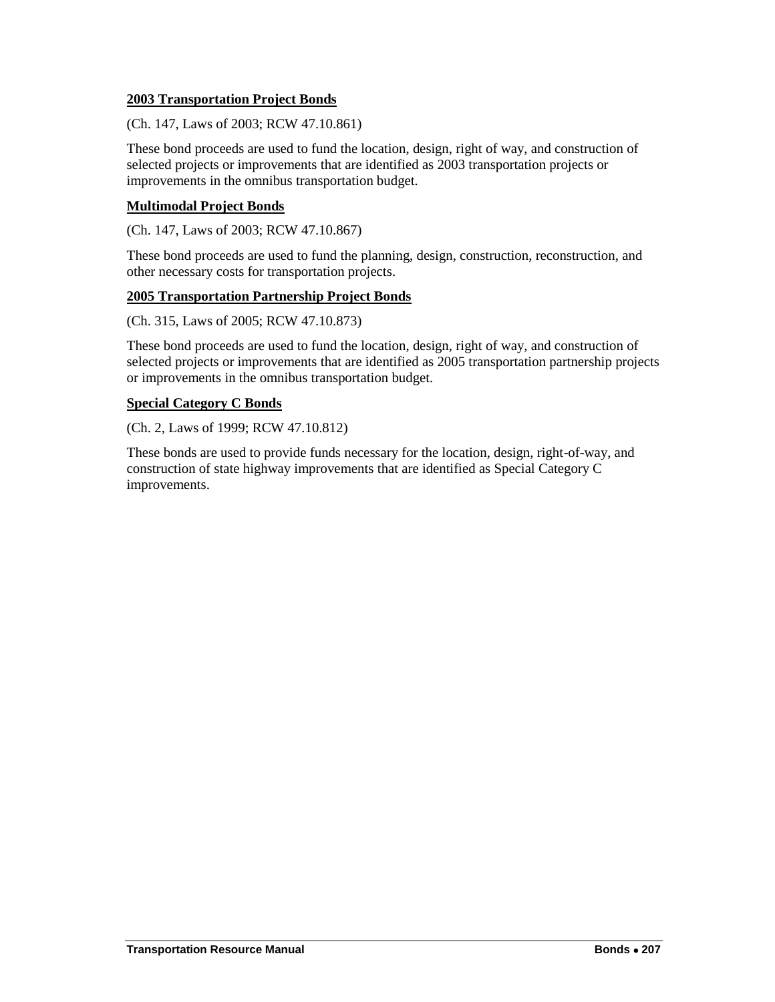#### **2003 Transportation Project Bonds**

(Ch. 147, Laws of 2003; RCW 47.10.861)

These bond proceeds are used to fund the location, design, right of way, and construction of selected projects or improvements that are identified as 2003 transportation projects or improvements in the omnibus transportation budget.

### **Multimodal Project Bonds**

(Ch. 147, Laws of 2003; RCW 47.10.867)

These bond proceeds are used to fund the planning, design, construction, reconstruction, and other necessary costs for transportation projects.

### **2005 Transportation Partnership Project Bonds**

(Ch. 315, Laws of 2005; RCW 47.10.873)

These bond proceeds are used to fund the location, design, right of way, and construction of selected projects or improvements that are identified as 2005 transportation partnership projects or improvements in the omnibus transportation budget.

### **Special Category C Bonds**

(Ch. 2, Laws of 1999; RCW 47.10.812)

These bonds are used to provide funds necessary for the location, design, right-of-way, and construction of state highway improvements that are identified as Special Category C improvements.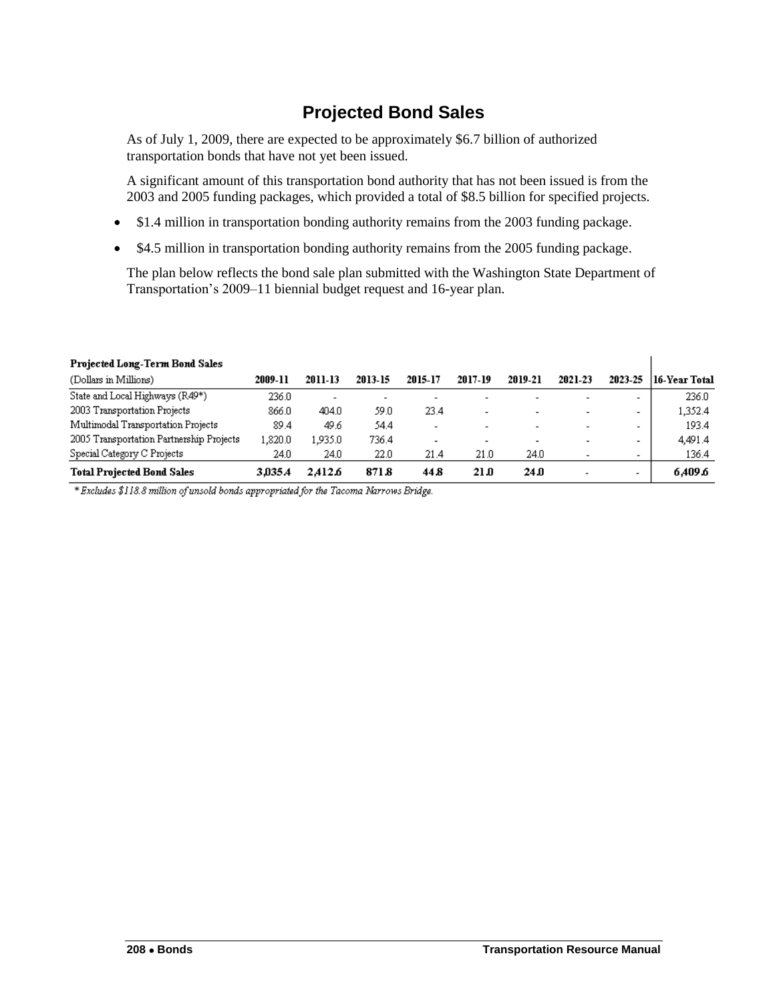# **Projected Bond Sales**

<span id="page-5-0"></span>As of July 1, 2009, there are expected to be approximately \$6.7 billion of authorized transportation bonds that have not yet been issued.

A significant amount of this transportation bond authority that has not been issued is from the 2003 and 2005 funding packages, which provided a total of \$8.5 billion for specified projects.

- \$1.4 million in transportation bonding authority remains from the 2003 funding package.
- \$4.5 million in transportation bonding authority remains from the 2005 funding package.

The plan below reflects the bond sale plan submitted with the Washington State Department of Transportation's 2009–11 biennial budget request and 16-year plan.

| Projected Long-Term Bond Sales           |         |                          |                          |                          |                          |                          |         |                          |               |
|------------------------------------------|---------|--------------------------|--------------------------|--------------------------|--------------------------|--------------------------|---------|--------------------------|---------------|
| (Dollars in Millions)                    | 2009-11 | 2011-13                  | 2013-15                  | 2015-17                  | 2017-19                  | 2019-21                  | 2021-23 | 2023-25                  | 16-Year Total |
| State and Local Highways (R49*)          | 236.0   | $\overline{\phantom{a}}$ | $\overline{\phantom{0}}$ | $\overline{\phantom{0}}$ |                          |                          |         | $\overline{\phantom{0}}$ | 236.0         |
| 2003 Transportation Projects             | 866.0   | 404.0                    | 59.0                     | 23.4                     | $\overline{\phantom{a}}$ | ۰                        |         | -                        | 1,352.4       |
| Multimodal Transportation Projects       | 89.4    | 49.6                     | 54.4                     | $\overline{\phantom{a}}$ | $\overline{\phantom{a}}$ |                          |         | -                        | 193.4         |
| 2005 Transportation Partnership Projects | ,820.0  | ,935.0                   | 736.4                    | $\overline{\phantom{a}}$ | $\overline{\phantom{a}}$ | $\overline{\phantom{0}}$ |         | -                        | 4.491.4       |
| Special Category C Projects              | 24.0    | 24.0                     | 22.0                     | 21.4                     | 21.0                     | 24.0                     |         | $\blacksquare$           | 136.4         |
| <b>Total Projected Bond Sales</b>        | 3.035.4 | 2.412.6                  | 871.8                    | 44.8                     | 21.0                     | 24.0                     |         | ۰                        | 6.409.6       |

#### **Projected Long-Term Bond Sales**

\* Excludes \$118.8 million of unsold bonds appropriated for the Tacoma Narrows Bridge.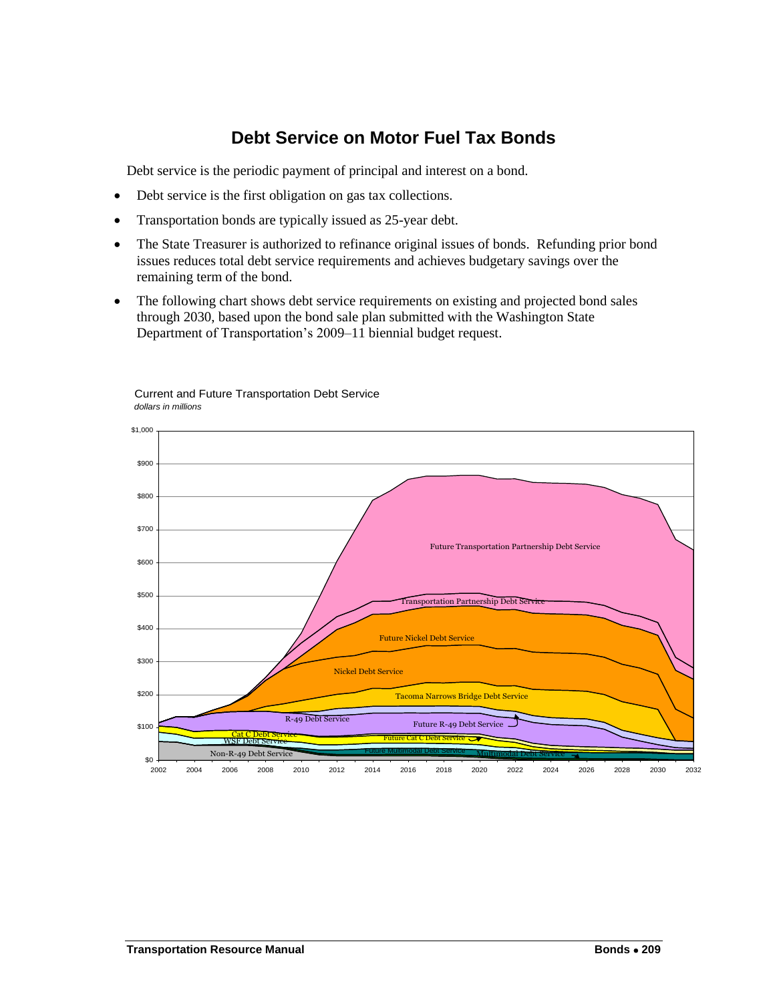# **Debt Service on Motor Fuel Tax Bonds**

<span id="page-6-0"></span>Debt service is the periodic payment of principal and interest on a bond.

- Debt service is the first obligation on gas tax collections.
- Transportation bonds are typically issued as 25-year debt.
- The State Treasurer is authorized to refinance original issues of bonds. Refunding prior bond issues reduces total debt service requirements and achieves budgetary savings over the remaining term of the bond.
- The following chart shows debt service requirements on existing and projected bond sales through 2030, based upon the bond sale plan submitted with the Washington State Department of Transportation's 2009–11 biennial budget request.



#### Current and Future Transportation Debt Service *dollars in millions*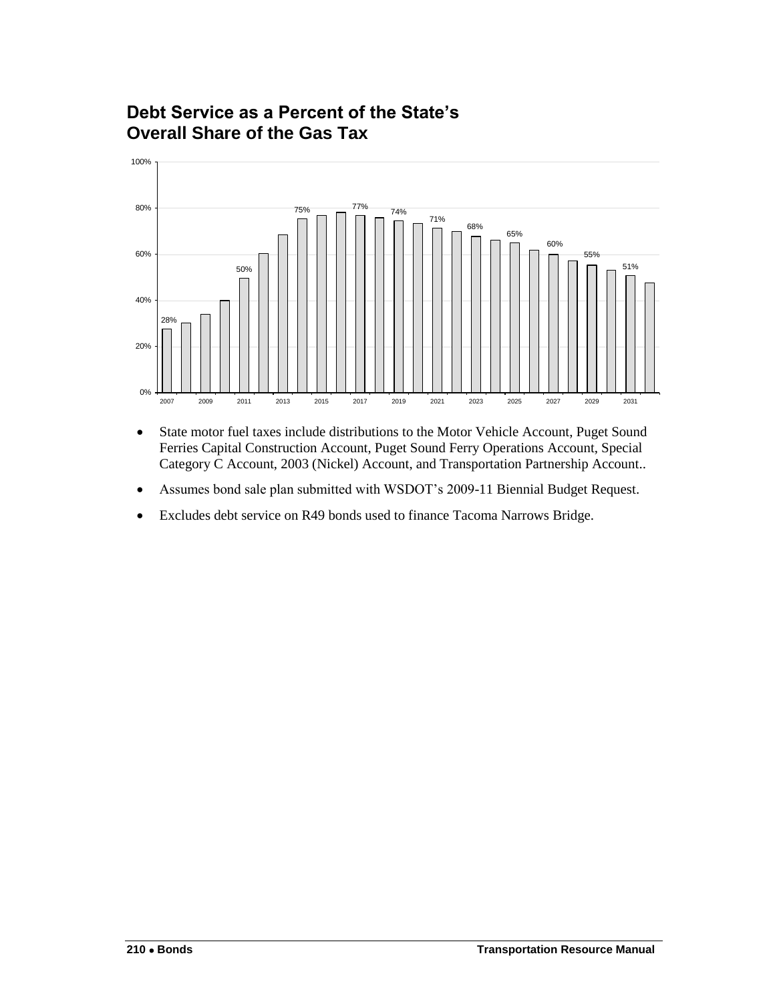# <span id="page-7-0"></span>**Debt Service as a Percent of the State's Overall Share of the Gas Tax**



- State motor fuel taxes include distributions to the Motor Vehicle Account, Puget Sound Ferries Capital Construction Account, Puget Sound Ferry Operations Account, Special Category C Account, 2003 (Nickel) Account, and Transportation Partnership Account..
- Assumes bond sale plan submitted with WSDOT's 2009-11 Biennial Budget Request.
- Excludes debt service on R49 bonds used to finance Tacoma Narrows Bridge.